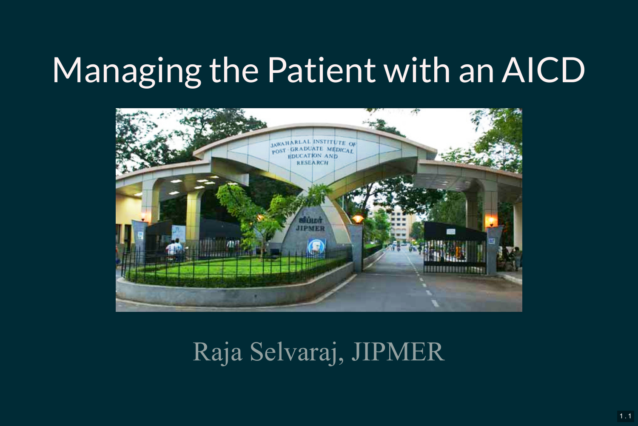# Managing the Patient with an AICD



Raja Selvaraj, JIPMER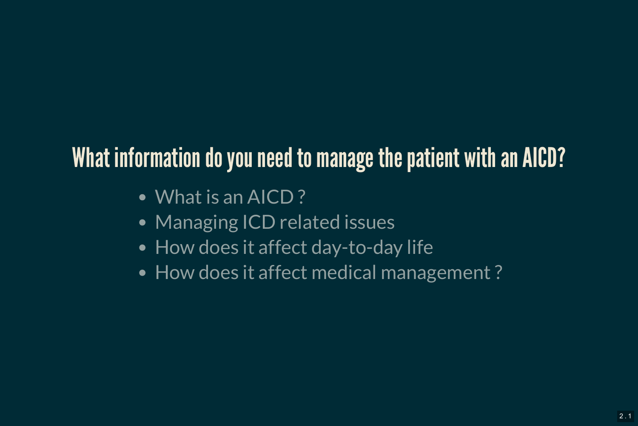### What information do you need to manage the patient with an AICD?

- What is an AICD?
- Managing ICD related issues
- How does it affect day-to-day life
- How does it affect medical management?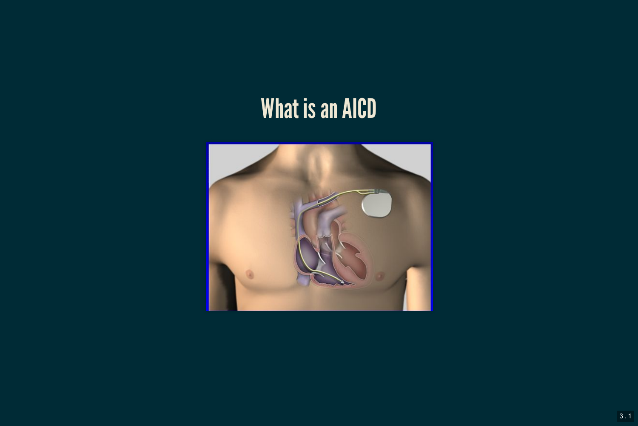### What is an AICD

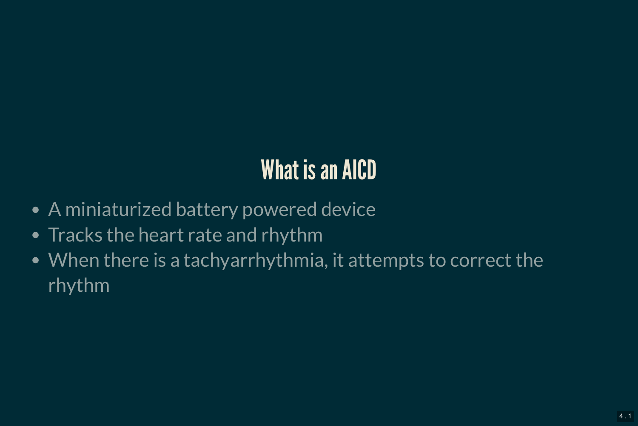### What is an AICD

- A miniaturized battery powered device
- Tracks the heart rate and rhythm
- When there is a tachyarrhythmia, it attempts to correct the rhythm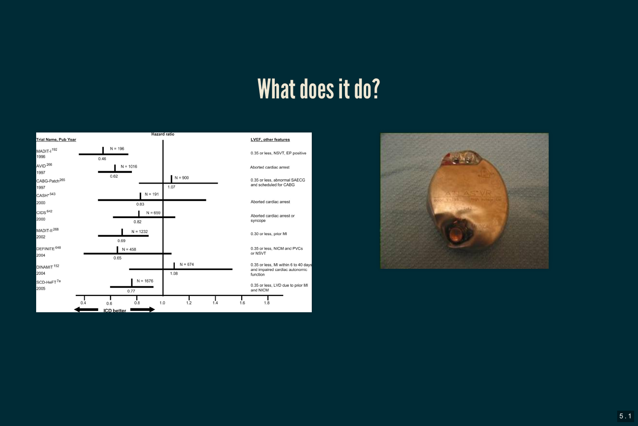#### What does it do?



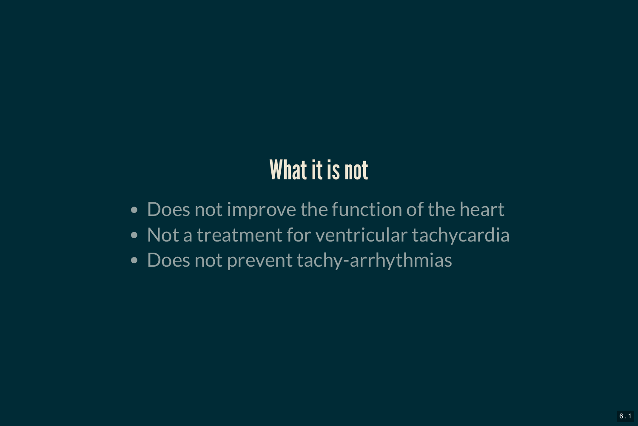### What it is not

- Does not improve the function of the heart
- Not a treatment for ventricular tachycardia
- Does not prevent tachy-arrhythmias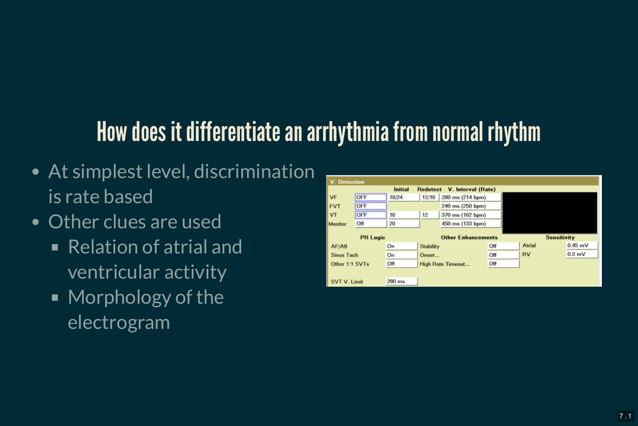### How does it differentiate an arrhythmia from normal rhythm

- At simplest level, discrimination is rate based
- Other clues are used
	- Relation of atrial and ventricular activity
	- Morphology of the electrogram

| <b>V.</b> Detection                                     |                                                              |          |                           |                  |     |                    |           |
|---------------------------------------------------------|--------------------------------------------------------------|----------|---------------------------|------------------|-----|--------------------|-----------|
| <b>Initial</b><br><b>Redetect</b><br>V. Interval (Rate) |                                                              |          |                           |                  |     |                    |           |
| VF                                                      | ,,,,,,,,,,,,,,,,,,,,,,,,,,<br>OFF<br>,,,,,,,,,,,,,,,,,,,,,,, | 18/24    | 12/16                     | 280 ms (214 bpm) |     |                    |           |
| <b>FVT</b>                                              | OFF                                                          |          | 240 ms (250 bpm)          |                  |     |                    |           |
| VT                                                      | OFF<br>,,,,,,,,,,,,,,,,,,,,,,,,,,,,,,,,,,,                   | 16       | 12                        | 370 ms (162 bpm) |     |                    |           |
| Monitor                                                 | Off                                                          | 20       |                           | 450 ms (133 bpm) |     |                    |           |
| <b>PR Logic</b>                                         |                                                              |          | <b>Other Enhancements</b> |                  |     | <b>Sensitivity</b> |           |
| AF/Afl                                                  |                                                              | On       | <b>Stability</b>          |                  | Off | Atrial             | $0.45$ mV |
| <b>Sinus Tach</b>                                       |                                                              | On       | Onset                     |                  | Off | <b>RV</b>          | 0.3 mV    |
| Off<br>Other 1:1 SVTs                                   |                                                              |          | <b>High Rate Timeout</b>  |                  | Off |                    |           |
|                                                         |                                                              |          |                           |                  |     |                    |           |
| <b>SVT V. Limit</b>                                     |                                                              | $280$ ms |                           |                  |     |                    |           |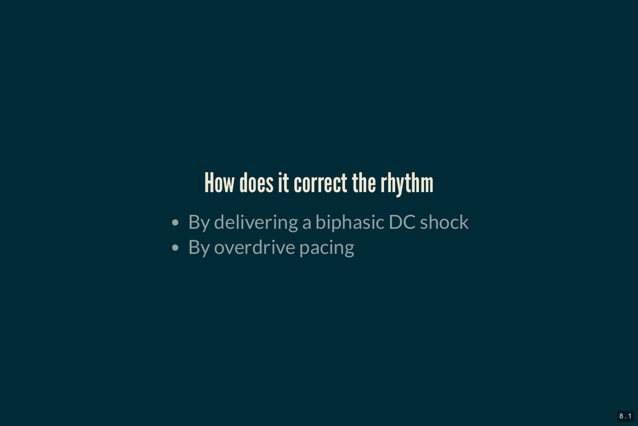### How does it correct the rhythm

- By delivering a biphasic DC shock
- By overdrive pacing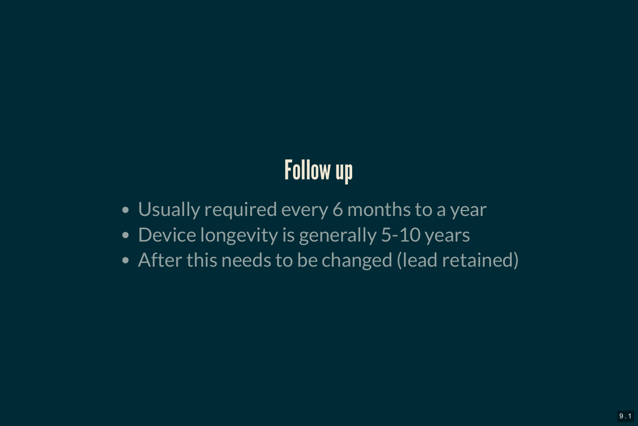## Follow up

- Usually required every 6 months to a year
- Device longevity is generally 5-10 years
- After this needs to be changed (lead retained)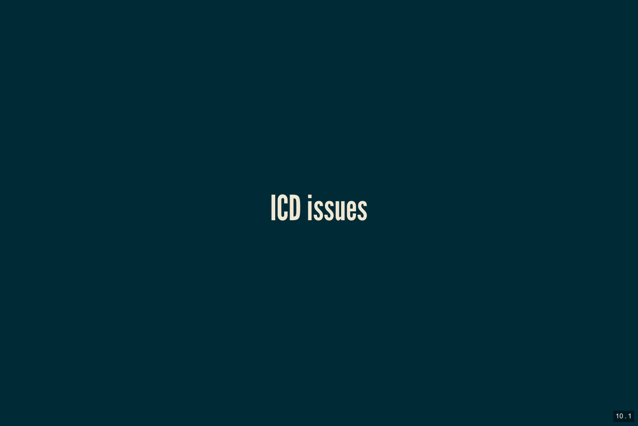## ICD issues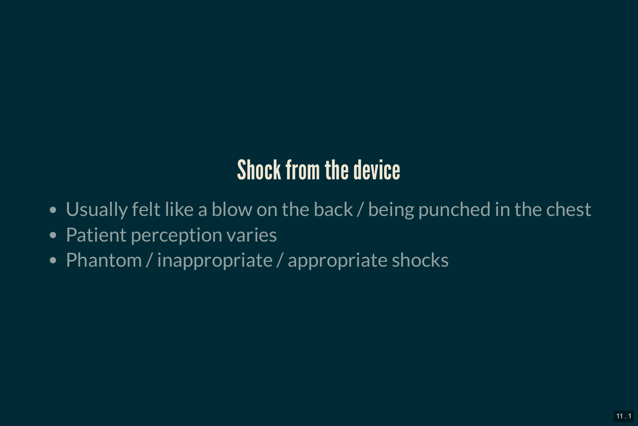### Shock from the device

- Usually felt like a blow on the back / being punched in the chest
- Patient perception varies
- Phantom / inappropriate / appropriate shocks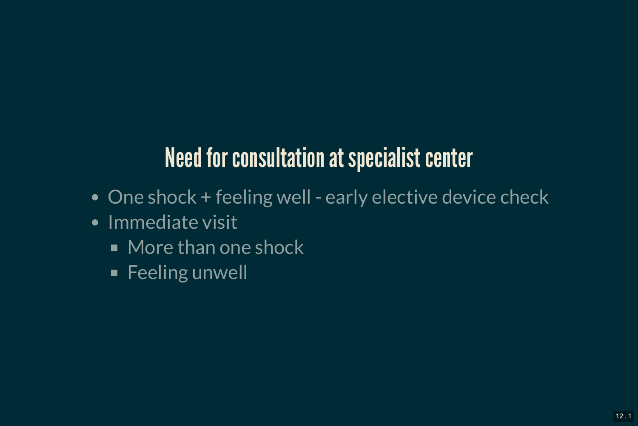### **Need for consultation at specialist center**

- One shock + feeling well early elective device check
- Immediate visit
	- More than one shock
	- **Feeling unwell**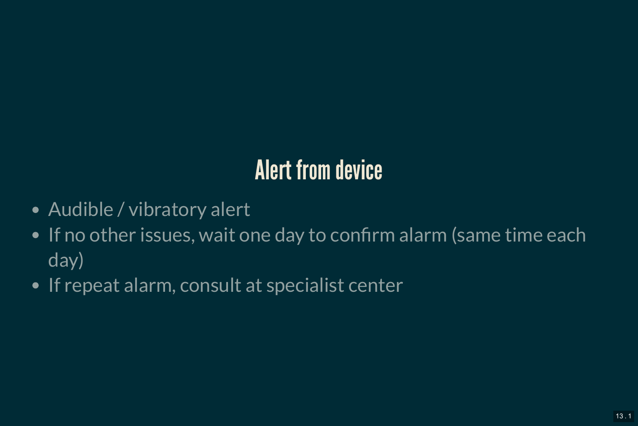### Alert from device

- Audible / vibratory alert
- If no other issues, wait one day to confirm alarm (same time each day)
- If repeat alarm, consult at specialist center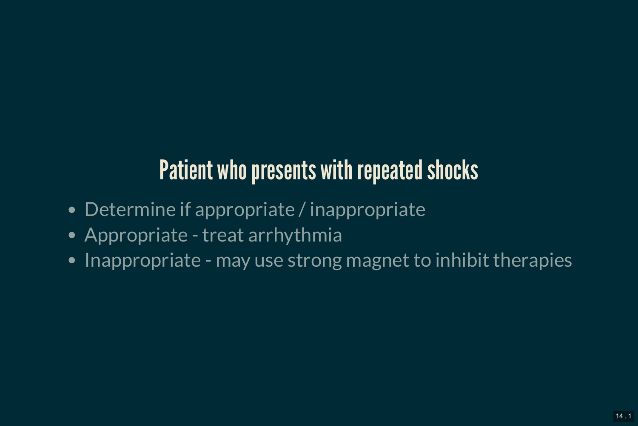### Patient who presents with repeated shocks

- Determine if appropriate / inappropriate
- Appropriate treat arrhythmia
- Inappropriate may use strong magnet to inhibit therapies  $\bullet$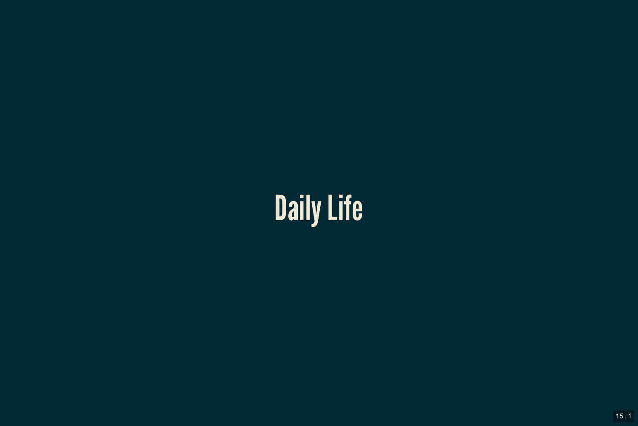# Daily Life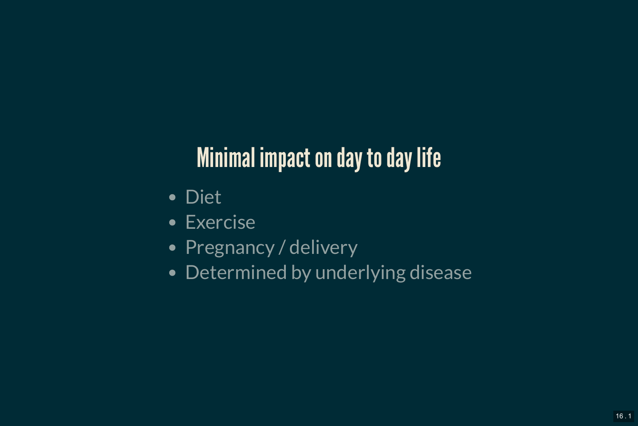### **Minimal impact on day to day life**

- Diet
- Exercise
- Pregnancy / delivery
- Determined by underlying disease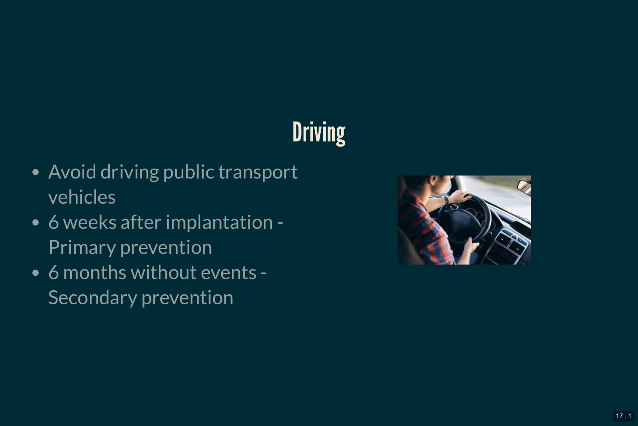## **Driving**

- Avoid driving public transport vehicles
- 6 weeks after implantation Primary prevention
- 6 months without events Secondary prevention

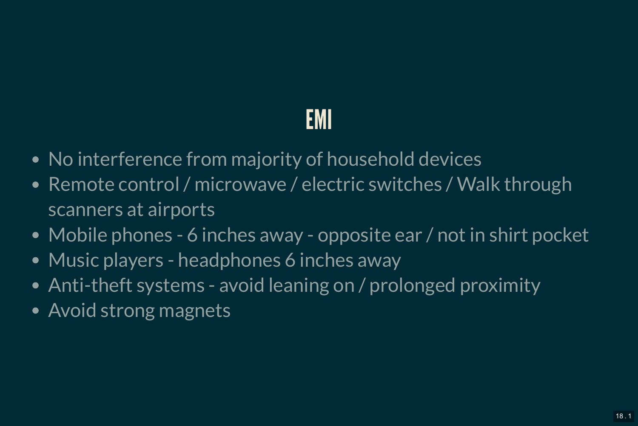### EMI

- No interference from majority of household devices
- Remote control / microwave / electric switches / Walk through scanners at airports
- Mobile phones 6 inches away opposite ear / not in shirt pocket
- Music players headphones 6 inches away
- Anti-theft systems avoid leaning on / prolonged proximity
- Avoid strong magnets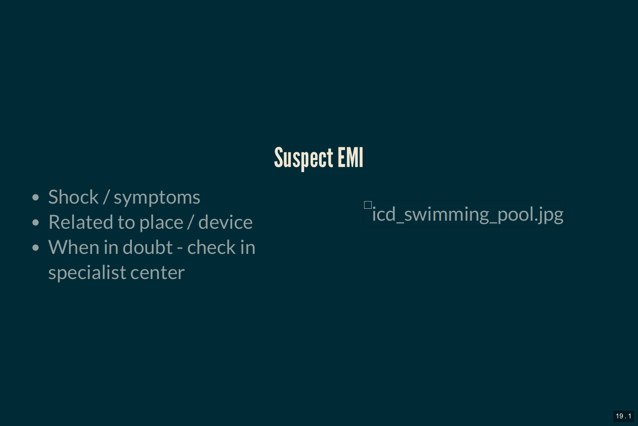### Suspect EMI

- Shock / symptoms
- Related to place / device
- When in doubt check in specialist center

icd\_swimming\_pool.jpg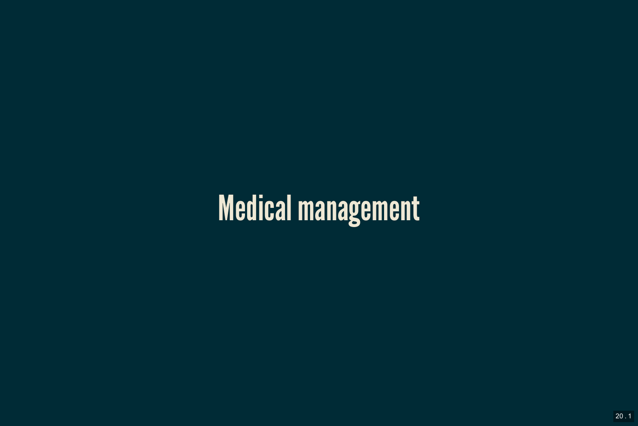# Medical management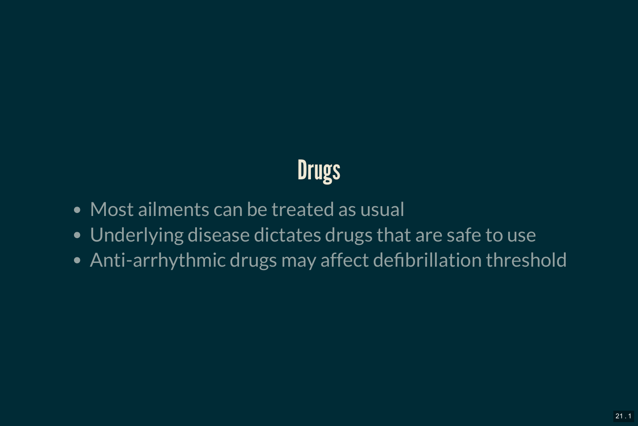## **Drugs**

- Most ailments can be treated as usual
- Underlying disease dictates drugs that are safe to use
- Anti-arrhythmic drugs may affect defibrillation threshold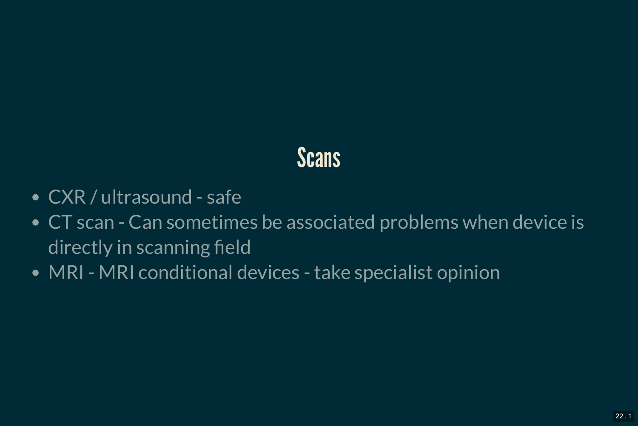#### **Scans**

- CXR / ultrasound safe
- CT scan Can sometimes be associated problems when device is directly in scanning field
- MRI MRI conditional devices take specialist opinion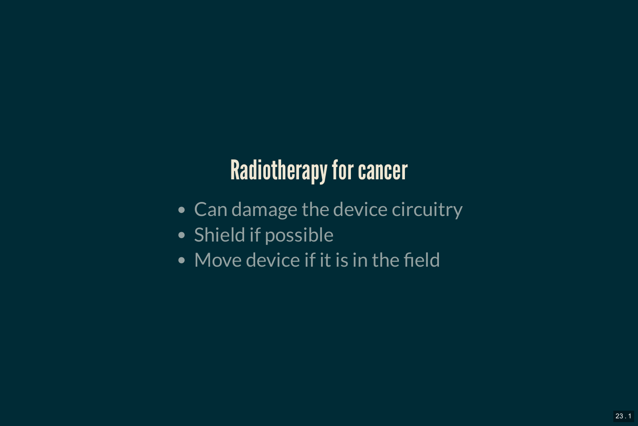### Radiotherapy for cancer

- Can damage the device circuitry
- Shield if possible
- Move device if it is in the field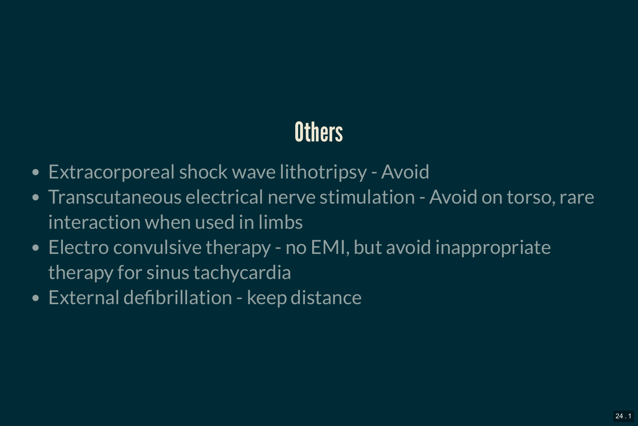### **Others**

- Extracorporeal shock wave lithotripsy Avoid
- Transcutaneous electrical nerve stimulation Avoid on torso, rare interaction when used in limbs
- Electro convulsive therapy no EMI, but avoid inappropriate therapy for sinus tachycardia
- External defibrillation keep distance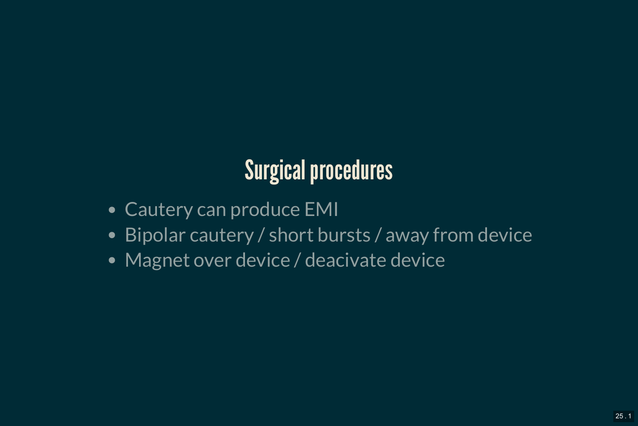### Surgical procedures

- Cautery can produce EMI
- Bipolar cautery / short bursts / away from device
- Magnet over device / deacivate device